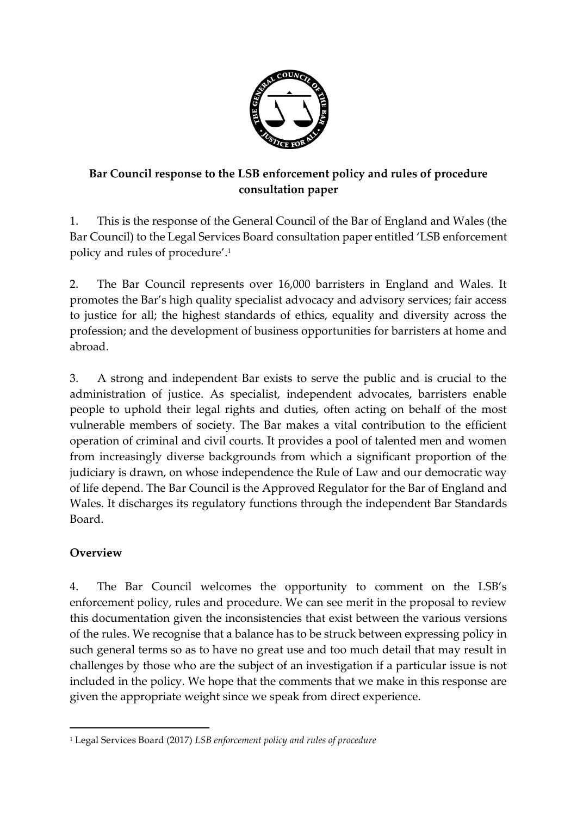

## **Bar Council response to the LSB enforcement policy and rules of procedure consultation paper**

1. This is the response of the General Council of the Bar of England and Wales (the Bar Council) to the Legal Services Board consultation paper entitled 'LSB enforcement policy and rules of procedure'. 1

2. The Bar Council represents over 16,000 barristers in England and Wales. It promotes the Bar's high quality specialist advocacy and advisory services; fair access to justice for all; the highest standards of ethics, equality and diversity across the profession; and the development of business opportunities for barristers at home and abroad.

3. A strong and independent Bar exists to serve the public and is crucial to the administration of justice. As specialist, independent advocates, barristers enable people to uphold their legal rights and duties, often acting on behalf of the most vulnerable members of society. The Bar makes a vital contribution to the efficient operation of criminal and civil courts. It provides a pool of talented men and women from increasingly diverse backgrounds from which a significant proportion of the judiciary is drawn, on whose independence the Rule of Law and our democratic way of life depend. The Bar Council is the Approved Regulator for the Bar of England and Wales. It discharges its regulatory functions through the independent Bar Standards Board.

## **Overview**

4. The Bar Council welcomes the opportunity to comment on the LSB's enforcement policy, rules and procedure. We can see merit in the proposal to review this documentation given the inconsistencies that exist between the various versions of the rules. We recognise that a balance has to be struck between expressing policy in such general terms so as to have no great use and too much detail that may result in challenges by those who are the subject of an investigation if a particular issue is not included in the policy. We hope that the comments that we make in this response are given the appropriate weight since we speak from direct experience.

 $\overline{a}$ <sup>1</sup> Legal Services Board (2017) *LSB enforcement policy and rules of procedure*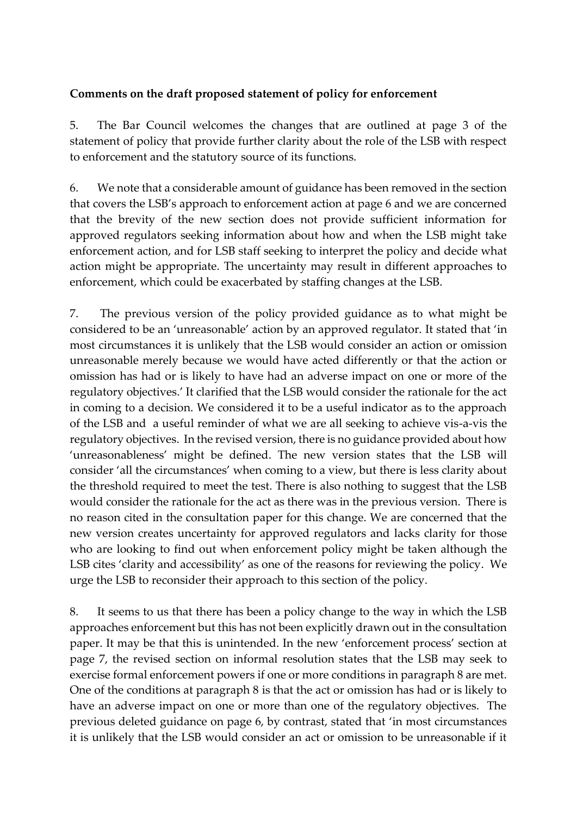## **Comments on the draft proposed statement of policy for enforcement**

5. The Bar Council welcomes the changes that are outlined at page 3 of the statement of policy that provide further clarity about the role of the LSB with respect to enforcement and the statutory source of its functions.

6. We note that a considerable amount of guidance has been removed in the section that covers the LSB's approach to enforcement action at page 6 and we are concerned that the brevity of the new section does not provide sufficient information for approved regulators seeking information about how and when the LSB might take enforcement action, and for LSB staff seeking to interpret the policy and decide what action might be appropriate. The uncertainty may result in different approaches to enforcement, which could be exacerbated by staffing changes at the LSB.

7. The previous version of the policy provided guidance as to what might be considered to be an 'unreasonable' action by an approved regulator. It stated that 'in most circumstances it is unlikely that the LSB would consider an action or omission unreasonable merely because we would have acted differently or that the action or omission has had or is likely to have had an adverse impact on one or more of the regulatory objectives.' It clarified that the LSB would consider the rationale for the act in coming to a decision. We considered it to be a useful indicator as to the approach of the LSB and a useful reminder of what we are all seeking to achieve vis-a-vis the regulatory objectives. In the revised version, there is no guidance provided about how 'unreasonableness' might be defined. The new version states that the LSB will consider 'all the circumstances' when coming to a view, but there is less clarity about the threshold required to meet the test. There is also nothing to suggest that the LSB would consider the rationale for the act as there was in the previous version. There is no reason cited in the consultation paper for this change. We are concerned that the new version creates uncertainty for approved regulators and lacks clarity for those who are looking to find out when enforcement policy might be taken although the LSB cites 'clarity and accessibility' as one of the reasons for reviewing the policy. We urge the LSB to reconsider their approach to this section of the policy.

8. It seems to us that there has been a policy change to the way in which the LSB approaches enforcement but this has not been explicitly drawn out in the consultation paper. It may be that this is unintended. In the new 'enforcement process' section at page 7, the revised section on informal resolution states that the LSB may seek to exercise formal enforcement powers if one or more conditions in paragraph 8 are met. One of the conditions at paragraph 8 is that the act or omission has had or is likely to have an adverse impact on one or more than one of the regulatory objectives. The previous deleted guidance on page 6, by contrast, stated that 'in most circumstances it is unlikely that the LSB would consider an act or omission to be unreasonable if it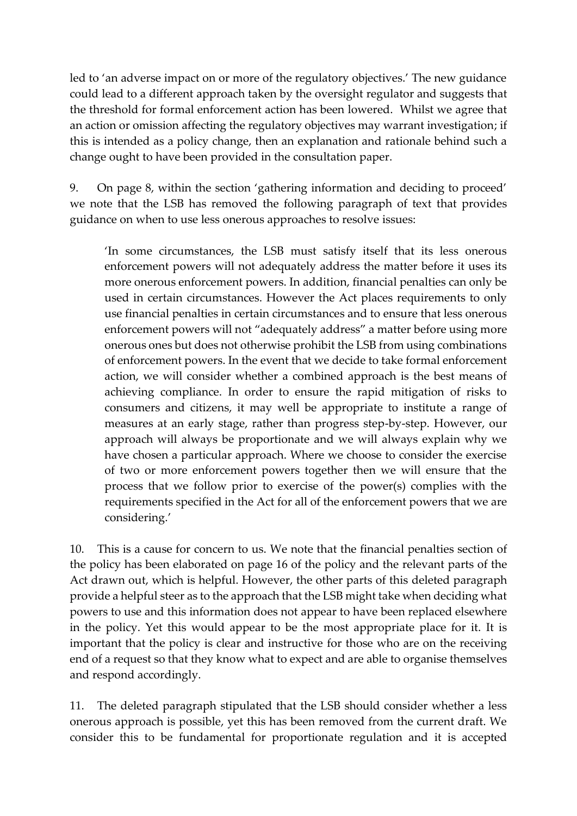led to 'an adverse impact on or more of the regulatory objectives.' The new guidance could lead to a different approach taken by the oversight regulator and suggests that the threshold for formal enforcement action has been lowered. Whilst we agree that an action or omission affecting the regulatory objectives may warrant investigation; if this is intended as a policy change, then an explanation and rationale behind such a change ought to have been provided in the consultation paper.

9. On page 8, within the section 'gathering information and deciding to proceed' we note that the LSB has removed the following paragraph of text that provides guidance on when to use less onerous approaches to resolve issues:

'In some circumstances, the LSB must satisfy itself that its less onerous enforcement powers will not adequately address the matter before it uses its more onerous enforcement powers. In addition, financial penalties can only be used in certain circumstances. However the Act places requirements to only use financial penalties in certain circumstances and to ensure that less onerous enforcement powers will not "adequately address" a matter before using more onerous ones but does not otherwise prohibit the LSB from using combinations of enforcement powers. In the event that we decide to take formal enforcement action, we will consider whether a combined approach is the best means of achieving compliance. In order to ensure the rapid mitigation of risks to consumers and citizens, it may well be appropriate to institute a range of measures at an early stage, rather than progress step-by-step. However, our approach will always be proportionate and we will always explain why we have chosen a particular approach. Where we choose to consider the exercise of two or more enforcement powers together then we will ensure that the process that we follow prior to exercise of the power(s) complies with the requirements specified in the Act for all of the enforcement powers that we are considering.'

10. This is a cause for concern to us. We note that the financial penalties section of the policy has been elaborated on page 16 of the policy and the relevant parts of the Act drawn out, which is helpful. However, the other parts of this deleted paragraph provide a helpful steer as to the approach that the LSB might take when deciding what powers to use and this information does not appear to have been replaced elsewhere in the policy. Yet this would appear to be the most appropriate place for it. It is important that the policy is clear and instructive for those who are on the receiving end of a request so that they know what to expect and are able to organise themselves and respond accordingly.

11. The deleted paragraph stipulated that the LSB should consider whether a less onerous approach is possible, yet this has been removed from the current draft. We consider this to be fundamental for proportionate regulation and it is accepted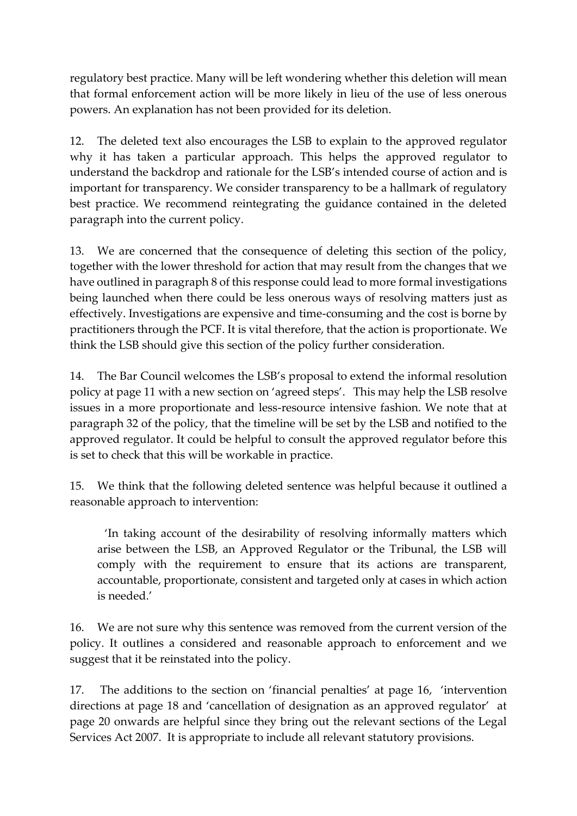regulatory best practice. Many will be left wondering whether this deletion will mean that formal enforcement action will be more likely in lieu of the use of less onerous powers. An explanation has not been provided for its deletion.

12. The deleted text also encourages the LSB to explain to the approved regulator why it has taken a particular approach. This helps the approved regulator to understand the backdrop and rationale for the LSB's intended course of action and is important for transparency. We consider transparency to be a hallmark of regulatory best practice. We recommend reintegrating the guidance contained in the deleted paragraph into the current policy.

13. We are concerned that the consequence of deleting this section of the policy, together with the lower threshold for action that may result from the changes that we have outlined in paragraph 8 of this response could lead to more formal investigations being launched when there could be less onerous ways of resolving matters just as effectively. Investigations are expensive and time-consuming and the cost is borne by practitioners through the PCF. It is vital therefore, that the action is proportionate. We think the LSB should give this section of the policy further consideration.

14. The Bar Council welcomes the LSB's proposal to extend the informal resolution policy at page 11 with a new section on 'agreed steps'. This may help the LSB resolve issues in a more proportionate and less-resource intensive fashion. We note that at paragraph 32 of the policy, that the timeline will be set by the LSB and notified to the approved regulator. It could be helpful to consult the approved regulator before this is set to check that this will be workable in practice.

15. We think that the following deleted sentence was helpful because it outlined a reasonable approach to intervention:

'In taking account of the desirability of resolving informally matters which arise between the LSB, an Approved Regulator or the Tribunal, the LSB will comply with the requirement to ensure that its actions are transparent, accountable, proportionate, consistent and targeted only at cases in which action is needed.'

16. We are not sure why this sentence was removed from the current version of the policy. It outlines a considered and reasonable approach to enforcement and we suggest that it be reinstated into the policy.

17. The additions to the section on 'financial penalties' at page 16, 'intervention directions at page 18 and 'cancellation of designation as an approved regulator' at page 20 onwards are helpful since they bring out the relevant sections of the Legal Services Act 2007. It is appropriate to include all relevant statutory provisions.